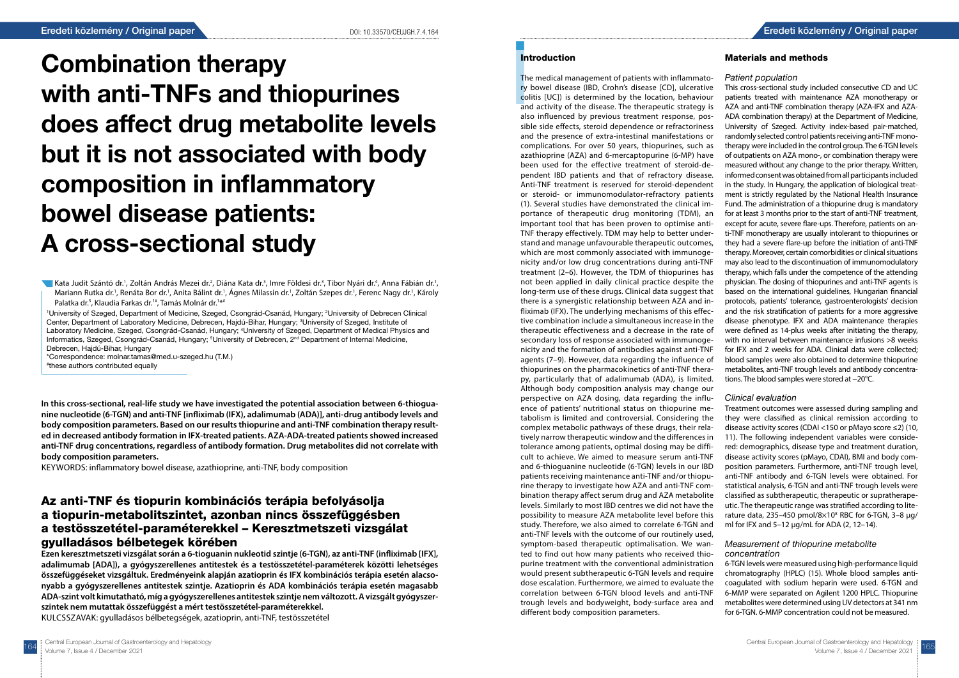# **Introduction**

Combination therapy with anti-TNFs and thiopurines does affect drug metabolite levels but it is not associated with body composition in inflammatory bowel disease patients: A cross-sectional study

Kata Judit Szántó dr.<sup>1</sup>, Zoltán András Mezei dr.<sup>2</sup>, Diána Kata dr.<sup>3</sup>, Imre Földesi dr.<sup>3</sup>, Tibor Nyári dr.<sup>4</sup>, Anna Fábián dr.<sup>1</sup>, Mariann Rutka dr.<sup>1</sup>, Renáta Bor dr.<sup>1</sup>, Anita Bálint dr.<sup>1</sup>, Ágnes Milassin dr.<sup>1</sup>, Zoltán Szepes dr.<sup>1</sup>, Ferenc Nagy dr.<sup>1</sup>, Károly Palatka dr.<sup>5</sup>, Klaudia Farkas dr.<sup>1#</sup>, Tamás Molnár dr.<sup>1\*#</sup>

<sup>1</sup>University of Szeged, Department of Medicine, Szeged, Csongrád-Csanád, Hungary; <sup>2</sup>University of Debrecen Clinical Center, Department of Laboratory Medicine, Debrecen, Hajdú-Bihar, Hungary; <sup>3</sup>University of Szeged, Institute of Laboratory Medicine, Szeged, Csongrád-Csanád, Hungary; 4 University of Szeged, Department of Medical Physics and Informatics, Szeged, Csongrád-Csanád, Hungary; <sup>5</sup>University of Debrecen, 2<sup>nd</sup> Department of Internal Medicine, Debrecen, Hajdú-Bihar, Hungary

\*Correspondence: molnar.tamas@med.u-szeged.hu (T.M.) # these authors contributed equally

**In this cross-sectional, real-life study we have investigated the potential association between 6-thioguanine nucleotide (6-TGN) and anti-TNF [infliximab (IFX), adalimumab (ADA)], anti-drug antibody levels and body composition parameters. Based on our results thiopurine and anti-TNF combination therapy resulted in decreased antibody formation in IFX-treated patients. AZA-ADA-treated patients showed increased anti-TNF drug concentrations, regardless of antibody formation. Drug metabolites did not correlate with body composition parameters.**

KEYWORDS: inflammatory bowel disease, azathioprine, anti-TNF, body composition

# Az anti-TNF és tiopurin kombinációs terápia befolyásolja a tiopurin-metabolitszintet, azonban nincs összefüggésben a testösszetétel-paraméterekkel – Keresztmetszeti vizsgálat gyulladásos bélbetegek körében

**Ezen keresztmetszeti vizsgálat során a 6-tioguanin nukleotid szintje (6-TGN), az anti-TNF (infliximab [IFX], adalimumab [ADA]), a gyógyszerellenes antitestek és a testösszetétel-paraméterek közötti lehetséges összefüggéseket vizsgáltuk. Eredményeink alapján azatioprin és IFX kombinációs terápia esetén alacsonyabb a gyógyszerellenes antitestek szintje. Azatioprin és ADA kombinációs terápia esetén magasabb ADA-szint volt kimutatható, míg a gyógyszerellenes antitestek szintje nem változott. A vizsgált gyógyszerszintek nem mutattak összefüggést a mért testösszetétel-paraméterekkel.** KULCSSZAVAK: gyulladásos bélbetegségek, azatioprin, anti-TNF, testösszetétel

Int<br>
Int<br>
The<br>
ry |<br>
col<br>
and also The medical management of patients with inflammatory bowel disease (IBD, Crohn's disease [CD], ulcerative colitis [UC]) is determined by the location, behaviour and activity of the disease. The therapeutic strategy is also influenced by previous treatment response, possible side effects, steroid dependence or refractoriness and the presence of extra-intestinal manifestations or complications. For over 50 years, thiopurines, such as azathioprine (AZA) and 6-mercaptopurine (6-MP) have been used for the effective treatment of steroid-dependent IBD patients and that of refractory disease. Anti-TNF treatment is reserved for steroid-dependent or steroid- or immunomodulator-refractory patients (1). Several studies have demonstrated the clinical importance of therapeutic drug monitoring (TDM), an important tool that has been proven to optimise anti-TNF therapy effectively. TDM may help to better understand and manage unfavourable therapeutic outcomes, which are most commonly associated with immunogenicity and/or low drug concentrations during anti-TNF treatment (2–6). However, the TDM of thiopurines has not been applied in daily clinical practice despite the long-term use of these drugs. Clinical data suggest that there is a synergistic relationship between AZA and infliximab (IFX). The underlying mechanisms of this effective combination include a simultaneous increase in the therapeutic effectiveness and a decrease in the rate of secondary loss of response associated with immunogenicity and the formation of antibodies against anti-TNF agents (7–9). However, data regarding the influence of thiopurines on the pharmacokinetics of anti-TNF therapy, particularly that of adalimumab (ADA), is limited. Although body composition analysis may change our perspective on AZA dosing, data regarding the influence of patients' nutritional status on thiopurine metabolism is limited and controversial. Considering the complex metabolic pathways of these drugs, their relatively narrow therapeutic window and the differences in tolerance among patients, optimal dosing may be difficult to achieve. We aimed to measure serum anti-TNF and 6-thioguanine nucleotide (6-TGN) levels in our IBD patients receiving maintenance anti-TNF and/or thiopurine therapy to investigate how AZA and anti-TNF combination therapy affect serum drug and AZA metabolite levels. Similarly to most IBD centres we did not have the possibility to measure AZA metabolite level before this study. Therefore, we also aimed to correlate 6-TGN and anti-TNF levels with the outcome of our routinely used, symptom-based therapeutic optimalisation. We wanted to find out how many patients who received thiopurine treatment with the conventional administration would present subtherapeutic 6-TGN levels and require dose escalation. Furthermore, we aimed to evaluate the correlation between 6-TGN blood levels and anti-TNF trough levels and bodyweight, body-surface area and different body composition parameters. Patient population This cross-sectional study included consecutive CD and UC patients treated with maintenance AZA monotherapy or AZA and anti-TNF combination therapy (AZA-IFX and AZA-ADA combination therapy) at the Department of Medicine, University of Szeged. Activity index-based pair-matched, randomly selected control patients receiving anti-TNF monotherapy were included in the control group. The 6-TGN levels of outpatients on AZA mono-, or combination therapy were measured without any change to the prior therapy. Written, informed consent was obtained from all participants included in the study. In Hungary, the application of biological treatment is strictly regulated by the National Health Insurance Fund. The administration of a thiopurine drug is mandatory for at least 3 months prior to the start of anti-TNF treatment, except for acute, severe flare-ups. Therefore, patients on anti-TNF monotherapy are usually intolerant to thiopurines or they had a severe flare-up before the initiation of anti-TNF therapy. Moreover, certain comorbidities or clinical situations may also lead to the discontinuation of immunomodulatory therapy, which falls under the competence of the attending physician. The dosing of thiopurines and anti-TNF agents is based on the international guidelines, Hungarian financial protocols, patients' tolerance, gastroenterologists' decision and the risk stratification of patients for a more aggressive disease phenotype. IFX and ADA maintenance therapies were defined as 14-plus weeks after initiating the therapy, with no interval between maintenance infusions >8 weeks for IFX and 2 weeks for ADA. Clinical data were collected; blood samples were also obtained to determine thiopurine metabolites, anti-TNF trough levels and antibody concentrations. The blood samples were stored at −20°C. Clinical evaluation Treatment outcomes were assessed during sampling and they were classified as clinical remission according to disease activity scores (CDAI <150 or pMayo score ≤2) (10, 11). The following independent variables were considered: demographics, disease type and treatment duration, disease activity scores (pMayo, CDAI), BMI and body composition parameters. Furthermore, anti-TNF trough level, anti-TNF antibody and 6-TGN levels were obtained. For statistical analysis, 6-TGN and anti-TNF trough levels were classified as subtherapeutic, therapeutic or supratherapeutic. The therapeutic range was stratified according to literature data, 235-450 pmol/8 $\times$ 10<sup>8</sup> RBC for 6-TGN, 3-8  $\mu$ g/ ml for IFX and 5–12 µg/mL for ADA (2, 12–14). Measurement of thiopurine metabolite concentration 6-TGN levels were measured using high-performance liquid chromatography (HPLC) (15). Whole blood samples anticoagulated with sodium heparin were used. 6-TGN and 6-MMP were separated on Agilent 1200 HPLC. Thiopurine metabolites were determined using UV detectors at 341 nm for 6-TGN. 6-MMP concentration could not be measured.

### Materials and methods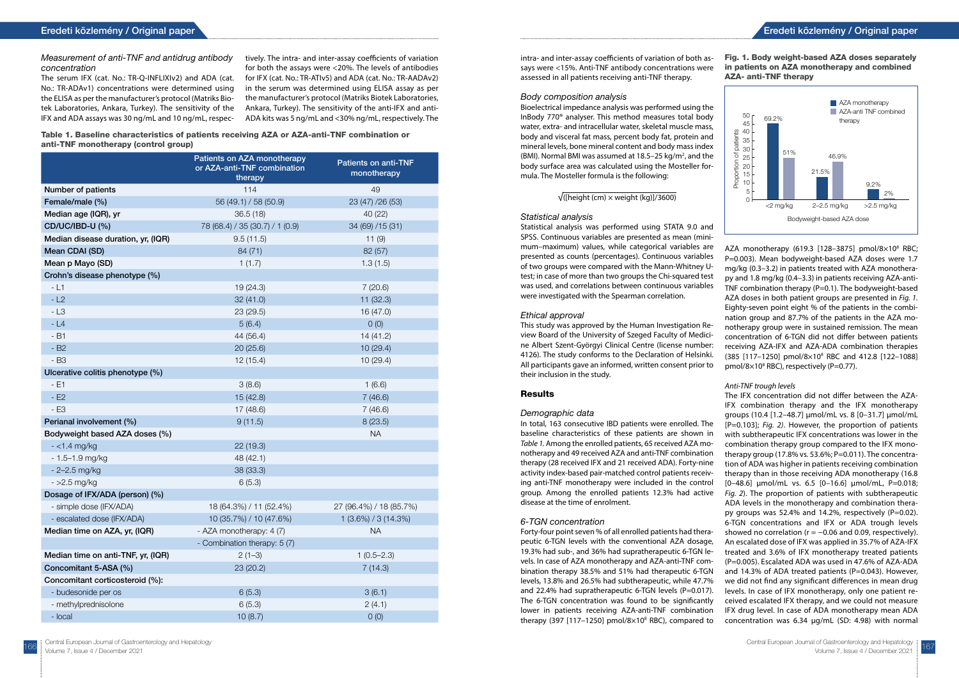### Measurement of anti-TNF and antidrug antibody concentration

The serum IFX (cat. No.: TR-Q-INFLIXIv2) and ADA (cat. No.: TR-ADAv1) concentrations were determined using the ELISA as per the manufacturer's protocol (Matriks Biotek Laboratories, Ankara, Turkey). The sensitivity of the IFX and ADA assays was 30 ng/mL and 10 ng/mL, respec-

tively. The intra- and inter-assay coefficients of variation for both the assays were <20%. The levels of antibodies for IFX (cat. No.: TR-ATIv5) and ADA (cat. No.: TR-AADAv2) in the serum was determined using ELISA assay as per the manufacturer's protocol (Matriks Biotek Laboratories, Ankara, Turkey). The sensitivity of the anti-IFX and anti-ADA kits was 5 ng/mL and <30% ng/mL, respectively. The

Table 1. Baseline characteristics of patients receiving AZA or AZA-anti-TNF combination or anti-TNF monotherapy (control group)

|                                    | Patients on AZA monotherapy<br>or AZA-anti-TNF combination<br>therapy | <b>Patients on anti-TNF</b><br>monotherapy |
|------------------------------------|-----------------------------------------------------------------------|--------------------------------------------|
| Number of patients                 | 114                                                                   | 49                                         |
| Female/male (%)                    | 56 (49.1) / 58 (50.9)<br>23 (47) /26 (53)                             |                                            |
| Median age (IQR), yr               | 36.5(18)<br>40 (22)                                                   |                                            |
| <b>CD/UC/IBD-U (%)</b>             | 78 (68.4) / 35 (30.7) / 1 (0.9)<br>34 (69) /15 (31)                   |                                            |
| Median disease duration, yr, (IQR) | 9.5(11.5)<br>11(9)                                                    |                                            |
| Mean CDAI (SD)                     | 84 (71)<br>82 (57)                                                    |                                            |
| Mean p Mayo (SD)                   | 1(1.7)                                                                | 1.3(1.5)                                   |
| Crohn's disease phenotype (%)      |                                                                       |                                            |
| $-L1$                              | 19(24.3)                                                              | 7(20.6)                                    |
| $-L2$                              | 32(41.0)                                                              | 11(32.3)                                   |
| $-L3$                              | 23 (29.5)                                                             | 16 (47.0)                                  |
| $-L4$                              | 5(6.4)                                                                | O(0)                                       |
| $-B1$                              | 44 (56.4)                                                             | 14(41.2)                                   |
| $-B2$                              | 20(25.6)                                                              | 10(29.4)                                   |
| - B3                               | 12(15.4)                                                              | 10(29.4)                                   |
| Ulcerative colitis phenotype (%)   |                                                                       |                                            |
| - E1                               | 3(8.6)                                                                | 1(6.6)                                     |
| $-E2$                              | 15(42.8)                                                              | 7(46.6)                                    |
| $-E3$                              | 17 (48.6)                                                             | 7(46.6)                                    |
| Perianal involvement (%)           | 9(11.5)                                                               | 8(23.5)                                    |
| Bodyweight based AZA doses (%)     |                                                                       | <b>NA</b>                                  |
| $-$ <1.4 mg/kg                     | 22(19.3)                                                              |                                            |
| $-1.5 - 1.9$ mg/kg                 | 48 (42.1)                                                             |                                            |
| $-2 - 2.5$ mg/kg                   | 38 (33.3)                                                             |                                            |
| $-$ >2.5 mg/kg                     | 6(5.3)                                                                |                                            |
| Dosage of IFX/ADA (person) (%)     |                                                                       |                                            |
| - simple dose (IFX/ADA)            | 18 (64.3%) / 11 (52.4%)                                               | 27 (96.4%) / 18 (85.7%)                    |
| - escalated dose (IFX/ADA)         | 10 (35.7%) / 10 (47.6%)                                               | $1(3.6\%) / 3(14.3\%)$                     |
| Median time on AZA, yr, (IQR)      | - AZA monotherapy: 4 (7)<br><b>NA</b>                                 |                                            |
|                                    | - Combination therapy: 5 (7)                                          |                                            |
| Median time on anti-TNF, yr, (IQR) | $2(1-3)$                                                              | $1(0.5 - 2.3)$                             |
| Concomitant 5-ASA (%)              | 23(20.2)                                                              | 7(14.3)                                    |
| Concomitant corticosteroid (%):    |                                                                       |                                            |
| - budesonide per os                | 6(5.3)                                                                | 3(6.1)                                     |
| - methylprednisolone               | 6(5.3)                                                                | 2(4.1)                                     |
| - local                            | 10(8.7)                                                               | O(0)                                       |

Demographic data In total, 163 consecutive IBD patients were enrolled. The baseline characteristics of these patients are shown in *Table 1.* Among the enrolled patients, 65 received AZA monotherapy and 49 received AZA and anti-TNF combination therapy (28 received IFX and 21 received ADA). Forty-nine activity index-based pair-matched control patients receiving anti-TNF monotherapy were included in the control group. Among the enrolled patients 12.3% had active disease at the time of enrolment. 6-TGN concentration Forty-four point seven % of all enrolled patients had therapeutic 6-TGN levels with the conventional AZA dosage, 19.3% had sub-, and 36% had supratherapeutic 6-TGN levels. In case of AZA monotherapy and AZA-anti-TNF combination therapy 38.5% and 51% had therapeutic 6-TGN levels, 13.8% and 26.5% had subtherapeutic, while 47.7% and 22.4% had supratherapeutic 6-TGN levels (P=0.017). The 6-TGN concentration was found to be significantly lower in patients receiving AZA-anti-TNF combination therapy (397 [117-1250] pmol/8 $\times$ 10<sup>8</sup> RBC), compared to

### Body composition analysis

Bioelectrical impedance analysis was performed using the InBody 770® analyser. This method measures total body water, extra- and intracellular water, skeletal muscle mass, body and visceral fat mass, percent body fat, protein and mineral levels, bone mineral content and body mass index (BMI). Normal BMI was assumed at  $18.5-25$  kg/m<sup>2</sup>, and the body surface area was calculated using the Mosteller formula. The Mosteller formula is the following:

### $\sqrt{\frac{(\text{height}(\text{cm}) \times \text{weight}(\text{kg})}{3600}}$

### Statistical analysis

Statistical analysis was performed using STATA 9.0 and SPSS. Continuous variables are presented as mean (minimum–maximum) values, while categorical variables are presented as counts (percentages). Continuous variables of two groups were compared with the Mann-Whitney Utest; in case of more than two groups the Chi-squared test was used, and correlations between continuous variables were investigated with the Spearman correlation.

### Ethical approval

This study was approved by the Human Investigation Review Board of the University of Szeged Faculty of Medicine Albert Szent-Györgyi Clinical Centre (license number: 4126). The study conforms to the Declaration of Helsinki. All participants gave an informed, written consent prior to their inclusion in the study.

## Results

intra- and inter-assay coefficients of variation of both assays were <15%. Anti-TNF antibody concentrations were assessed in all patients receiving anti-TNF therapy. Fig. 1. Body weight-based AZA doses separately in patients on AZA monotherapy and combined AZA- anti-TNF therapy

### *Anti-TNF trough levels*

The IFX concentration did not differ between the AZA-IFX combination therapy and the IFX monotherapy groups (10.4 [1.2–48.7] μmol/mL vs. 8 [0–31.7] μmol/mL [P=0.103]; *Fig. 2)*. However, the proportion of patients with subtherapeutic IFX concentrations was lower in the combination therapy group compared to the IFX monotherapy group (17.8% vs. 53.6%; P=0.011). The concentration of ADA was higher in patients receiving combination therapy than in those receiving ADA monotherapy (16.8  $[0-48.6]$  μmol/mL vs. 6.5  $[0-16.6]$  μmol/mL, P=0.018; *Fig. 2*). The proportion of patients with subtherapeutic ADA levels in the monotherapy and combination therapy groups was 52.4% and 14.2%, respectively (P=0.02). 6-TGN concentrations and IFX or ADA trough levels showed no correlation ( $r = -0.06$  and 0.09, respectively). An escalated dose of IFX was applied in 35.7% of AZA-IFX treated and 3.6% of IFX monotherapy treated patients (P=0.005). Escalated ADA was used in 47.6% of AZA-ADA and 14.3% of ADA treated patients  $(P=0.043)$ . However, we did not find any significant differences in mean drug levels. In case of IFX monotherapy, only one patient received escalated IFX therapy, and we could not measure IFX drug level. In case of ADA monotherapy mean ADA concentration was 6.34 µg/mL (SD: 4.98) with normal



AZA monotherapy (619.3 [128-3875] pmol/8×10<sup>8</sup> RBC; P=0.003). Mean bodyweight-based AZA doses were 1.7 mg/kg (0.3–3.2) in patients treated with AZA monotherapy and 1.8 mg/kg (0.4–3.3) in patients receiving AZA-anti-TNF combination therapy (P=0.1). The bodyweight-based AZA doses in both patient groups are presented in *Fig. 1.*  Eighty-seven point eight % of the patients in the combination group and 87.7% of the patients in the AZA monotherapy group were in sustained remission. The mean concentration of 6-TGN did not differ between patients receiving AZA-IFX and AZA-ADA combination therapies (385 [117–1250] pmol/8×108 RBC and 412.8 [122–1088] pmol/8×10<sup>8</sup> RBC), respectively (P=0.77).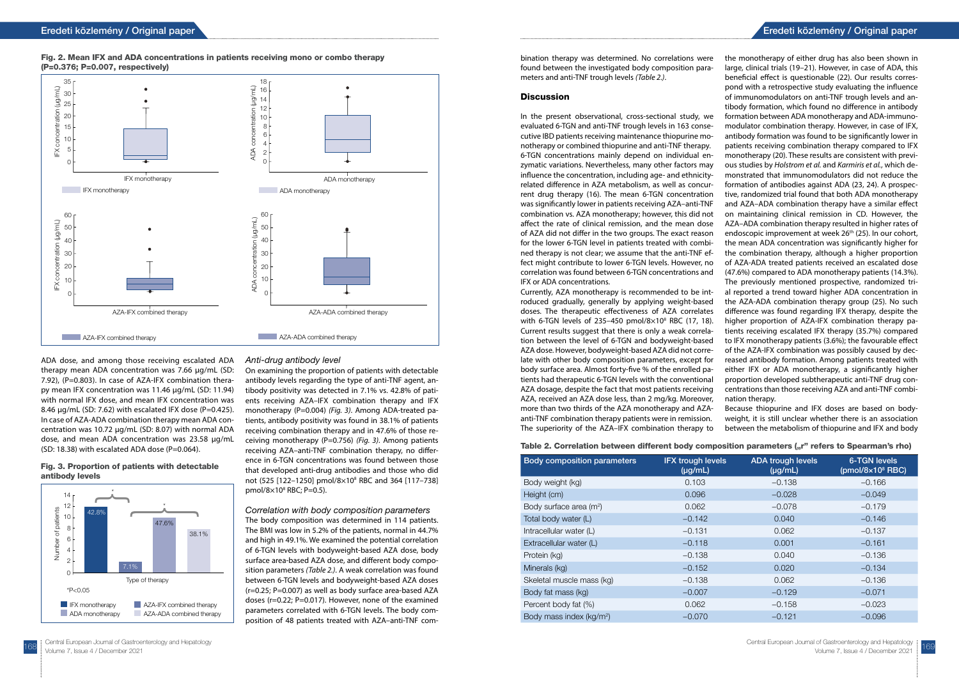ADA dose, and among those receiving escalated ADA therapy mean ADA concentration was 7.66 µg/mL (SD: 7.92), (P=0.803). In case of AZA-IFX combination therapy mean IFX concentration was 11.46 µg/mL (SD: 11.94) with normal IFX dose, and mean IFX concentration was 8.46  $\mu$ g/mL (SD: 7.62) with escalated IFX dose (P=0.425). In case of AZA-ADA combination therapy mean ADA concentration was 10.72 µg/mL (SD: 8.07) with normal ADA dose, and mean ADA concentration was 23.58 µg/mL (SD: 18.38) with escalated ADA dose (P=0.064).

# Eredeti közlemény / Original paper Eredeti közlemény / Original paper

### Anti-drug antibody level

On examining the proportion of patients with detectable antibody levels regarding the type of anti-TNF agent, antibody positivity was detected in 7.1% vs. 42.8% of patients receiving AZA–IFX combination therapy and IFX monotherapy (P=0.004) *(Fig. 3)*. Among ADA-treated patients, antibody positivity was found in 38.1% of patients receiving combination therapy and in 47.6% of those receiving monotherapy (P=0.756) *(Fig. 3)*. Among patients receiving AZA–anti-TNF combination therapy, no difference in 6-TGN concentrations was found between those that developed anti-drug antibodies and those who did not (525 [122–1250] pmol/8×108 RBC and 364 [117–738] pmol/8×108 RBC; P=0.5).

Correlation with body composition parameters The body composition was determined in 114 patients. The BMI was low in 5.2% of the patients, normal in 44.7% and high in 49.1%. We examined the potential correlation of 6-TGN levels with bodyweight-based AZA dose, body surface area-based AZA dose, and different body composition parameters *(Table 2.)*. A weak correlation was found between 6-TGN levels and bodyweight-based AZA doses (r=0.25; P=0.007) as well as body surface area-based AZA doses (r=0.22; P=0.017). However, none of the examined parameters correlated with 6-TGN levels. The body composition of 48 patients treated with AZA–anti-TNF com-



with 6-TGN levels of 235-450  $pmol/8\times10^8$  RBC (17, 18). Current results suggest that there is only a weak correlabody surface area. Almost forty-five % of the enrolled patients had therapeutic 6-TGN levels with the conventional more than two thirds of the AZA monotherapy and AZAanti-TNF combination therapy patients were in remission. The superiority of the AZA–IFX combination therapy to

### Table 2. Correlation between different body composition parameters ("r" refers to Spearman's rho)



### Fig. 3. Proportion of patients with detectable antibody levels

### Fig. 2. Mean IFX and ADA concentrations in patients receiving mono or combo therapy (P=0.376; P=0.007, respectively)

bination therapy was determined. No correlations were found between the investigated body composition parameters and anti-TNF trough levels *(Table 2.)*.

### **Discussion**

In the present observational, cross-sectional study, we evaluated 6-TGN and anti-TNF trough levels in 163 consecutive IBD patients receiving maintenance thiopurine monotherapy or combined thiopurine and anti-TNF therapy. 6-TGN concentrations mainly depend on individual enzymatic variations. Nevertheless, many other factors may influence the concentration, including age- and ethnicityrelated difference in AZA metabolism, as well as concurrent drug therapy (16). The mean 6-TGN concentration was significantly lower in patients receiving AZA–anti-TNF combination vs. AZA monotherapy; however, this did not affect the rate of clinical remission, and the mean dose of AZA did not differ in the two groups. The exact reason for the lower 6-TGN level in patients treated with combined therapy is not clear; we assume that the anti-TNF effect might contribute to lower 6-TGN levels. However, no correlation was found between 6-TGN concentrations and IFX or ADA concentrations. Currently, AZA monotherapy is recommended to be introduced gradually, generally by applying weight-based doses. The therapeutic effectiveness of AZA correlates tion between the level of 6-TGN and bodyweight-based AZA dose. However, bodyweight-based AZA did not correlate with other body composition parameters, except for AZA dosage, despite the fact that most patients receiving AZA, received an AZA dose less, than 2 mg/kg. Moreover, the monotherapy of either drug has also been shown in large, clinical trials (19–21). However, in case of ADA, this beneficial effect is questionable (22). Our results correspond with a retrospective study evaluating the influence of immunomodulators on anti-TNF trough levels and antibody formation, which found no difference in antibody formation between ADA monotherapy and ADA-immunomodulator combination therapy. However, in case of IFX, antibody formation was found to be significantly lower in patients receiving combination therapy compared to IFX monotherapy (20). These results are consistent with previous studies by *Holstrom et al.* and *Karmiris et al.*, which demonstrated that immunomodulators did not reduce the formation of antibodies against ADA (23, 24). A prospective, randomized trial found that both ADA monotherapy and AZA–ADA combination therapy have a similar effect on maintaining clinical remission in CD. However, the AZA–ADA combination therapy resulted in higher rates of endoscopic improvement at week 26<sup>th</sup> (25). In our cohort, the mean ADA concentration was significantly higher for the combination therapy, although a higher proportion of AZA-ADA treated patients received an escalated dose (47.6%) compared to ADA monotherapy patients (14.3%). The previously mentioned prospective, randomized trial reported a trend toward higher ADA concentration in the AZA-ADA combination therapy group (25). No such difference was found regarding IFX therapy, despite the higher proportion of AZA-IFX combination therapy patients receiving escalated IFX therapy (35.7%) compared to IFX monotherapy patients (3.6%); the favourable effect of the AZA-IFX combination was possibly caused by decreased antibody formation. Among patients treated with either IFX or ADA monotherapy, a significantly higher proportion developed subtherapeutic anti-TNF drug concentrations than those receiving AZA and anti-TNF combination therapy.

> Because thiopurine and IFX doses are based on bodyweight, it is still unclear whether there is an association between the metabolism of thiopurine and IFX and body

| <b>Body composition parameters</b>   | <b>IFX trough levels</b><br>$(\mu g/mL)$ | <b>ADA trough levels</b><br>$(\mu g/mL)$ | <b>6-TGN levels</b><br>(pmol/8 $\times$ 10 <sup>8</sup> RBC) |
|--------------------------------------|------------------------------------------|------------------------------------------|--------------------------------------------------------------|
| Body weight (kg)                     | 0.103                                    | $-0.138$                                 | $-0.166$                                                     |
| Height (cm)                          | 0.096                                    | $-0.028$                                 | $-0.049$                                                     |
| Body surface area (m <sup>2</sup> )  | 0.062                                    | $-0.078$                                 | $-0.179$                                                     |
| Total body water (L)                 | $-0.142$                                 | 0.040                                    | $-0.146$                                                     |
| Intracellular water (L)              | $-0.131$                                 | 0.062                                    | $-0.137$                                                     |
| Extracellular water (L)              | $-0.118$                                 | 0.001                                    | $-0.161$                                                     |
| Protein (kg)                         | $-0.138$                                 | 0.040                                    | $-0.136$                                                     |
| Minerals (kg)                        | $-0.152$                                 | 0.020                                    | $-0.134$                                                     |
| Skeletal muscle mass (kg)            | $-0.138$                                 | 0.062                                    | $-0.136$                                                     |
| Body fat mass (kg)                   | $-0.007$                                 | $-0.129$                                 | $-0.071$                                                     |
| Percent body fat (%)                 | 0.062                                    | $-0.158$                                 | $-0.023$                                                     |
| Body mass index (kg/m <sup>2</sup> ) | $-0.070$                                 | $-0.121$                                 | $-0.096$                                                     |